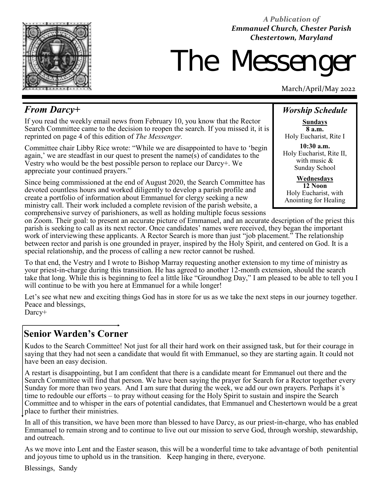*A Publication of Emmanuel Church, Chester Parish Chestertown, Maryland* 



# The Messeng

March/April/May 2022

# *From Darcy+*

If you read the weekly email news from February 10, you know that the Rector Search Committee came to the decision to reopen the search. If you missed it, it is reprinted on page 4 of this edition of *The Messenger.* 

Committee chair Libby Rice wrote: "While we are disappointed to have to 'begin again,' we are steadfast in our quest to present the name(s) of candidates to the Vestry who would be the best possible person to replace our Darcy+. We appreciate your continued prayers."

Since being commissioned at the end of August 2020, the Search Committee has devoted countless hours and worked diligently to develop a parish profile and create a portfolio of information about Emmanuel for clergy seeking a new ministry call. Their work included a complete revision of the parish website, a comprehensive survey of parishioners, as well as holding multiple focus sessions

# *Worship Schedule*

**Sundays 8 a.m.** Holy Eucharist, Rite I

**10:30 a.m.** Holy Eucharist, Rite II, with music & Sunday School

**Wednesdays 12 Noon** Holy Eucharist, with Anointing for Healing

on Zoom. Their goal: to present an accurate picture of Emmanuel, and an accurate description of the priest this parish is seeking to call as its next rector. Once candidates' names were received, they began the important work of interviewing these applicants. A Rector Search is more than just "job placement." The relationship between rector and parish is one grounded in prayer, inspired by the Holy Spirit, and centered on God. It is a special relationship, and the process of calling a new rector cannot be rushed.

To that end, the Vestry and I wrote to Bishop Marray requesting another extension to my time of ministry as your priest-in-charge during this transition. He has agreed to another 12-month extension, should the search take that long. While this is beginning to feel a little like "Groundhog Day," I am pleased to be able to tell you I will continue to be with you here at Emmanuel for a while longer!

Let's see what new and exciting things God has in store for us as we take the next steps in our journey together. Peace and blessings,

Darcy+

# **Senior Warden's Corner**

Kudos to the Search Committee! Not just for all their hard work on their assigned task, but for their courage in saying that they had not seen a candidate that would fit with Emmanuel, so they are starting again. It could not have been an easy decision.

A restart is disappointing, but I am confident that there is a candidate meant for Emmanuel out there and the Search Committee will find that person. We have been saying the prayer for Search for a Rector together every Sunday for more than two years. And I am sure that during the week, we add our own prayers. Perhaps it's time to redouble our efforts – to pray without ceasing for the Holy Spirit to sustain and inspire the Search Committee and to whisper in the ears of potential candidates, that Emmanuel and Chestertown would be a great place to further their ministries.

In all of this transition, we have been more than blessed to have Darcy, as our priest-in-charge, who has enabled Emmanuel to remain strong and to continue to live out our mission to serve God, through worship, stewardship, and outreach.

As we move into Lent and the Easter season, this will be a wonderful time to take advantage of both penitential and joyous time to uphold us in the transition. Keep hanging in there, everyone.

Blessings, Sandy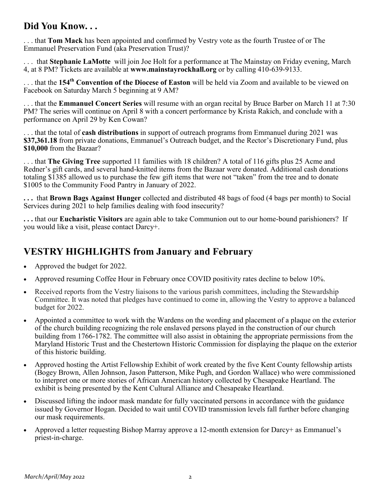# **Did You Know. . .**

. . . that **Tom Mack** has been appointed and confirmed by Vestry vote as the fourth Trustee of or The Emmanuel Preservation Fund (aka Preservation Trust)?

. . . that **Stephanie LaMotte** will join Joe Holt for a performance at The Mainstay on Friday evening, March 4, at 8 PM? Tickets are available at **www.mainstayrockhall.org** or by calling 410-639-9133.

. . . that the **154th Convention of the Diocese of Easton** will be held via Zoom and available to be viewed on Facebook on Saturday March 5 beginning at 9 AM?

. . . that the **Emmanuel Concert Series** will resume with an organ recital by Bruce Barber on March 11 at 7:30 PM? The series will continue on April 8 with a concert performance by Krista Rakich, and conclude with a performance on April 29 by Ken Cowan?

. . . that the total of **cash distributions** in support of outreach programs from Emmanuel during 2021 was **\$37,361.18** from private donations, Emmanuel's Outreach budget, and the Rector's Discretionary Fund, plus **\$10,000** from the Bazaar?

. . . that **The Giving Tree** supported 11 families with 18 children? A total of 116 gifts plus 25 Acme and Redner's gift cards, and several hand-knitted items from the Bazaar were donated. Additional cash donations totaling \$1385 allowed us to purchase the few gift items that were not "taken" from the tree and to donate \$1005 to the Community Food Pantry in January of 2022.

**. . .** that **Brown Bags Against Hunger** collected and distributed 48 bags of food (4 bags per month) to Social Services during 2021 to help families dealing with food insecurity?

**. . .** that our **Eucharistic Visitors** are again able to take Communion out to our home-bound parishioners? If you would like a visit, please contact Darcy+.

# **VESTRY HIGHLIGHTS from January and February**

- Approved the budget for 2022.
- Approved resuming Coffee Hour in February once COVID positivity rates decline to below 10%.
- Received reports from the Vestry liaisons to the various parish committees, including the Stewardship Committee. It was noted that pledges have continued to come in, allowing the Vestry to approve a balanced budget for 2022.
- Appointed a committee to work with the Wardens on the wording and placement of a plaque on the exterior of the church building recognizing the role enslaved persons played in the construction of our church building from 1766-1782. The committee will also assist in obtaining the appropriate permissions from the Maryland Historic Trust and the Chestertown Historic Commission for displaying the plaque on the exterior of this historic building.
- Approved hosting the Artist Fellowship Exhibit of work created by the five Kent County fellowship artists (Bogey Brown, Allen Johnson, Jason Patterson, Mike Pugh, and Gordon Wallace) who were commissioned to interpret one or more stories of African American history collected by Chesapeake Heartland. The exhibit is being presented by the Kent Cultural Alliance and Chesapeake Heartland.
- Discussed lifting the indoor mask mandate for fully vaccinated persons in accordance with the guidance issued by Governor Hogan. Decided to wait until COVID transmission levels fall further before changing our mask requirements.
- Approved a letter requesting Bishop Marray approve a 12-month extension for Darcy+ as Emmanuel's priest-in-charge.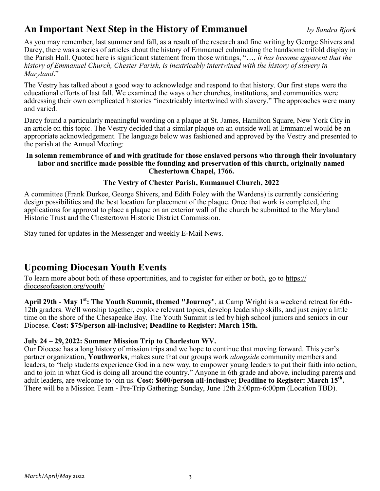# **An Important Next Step in the History of Emmanuel** *by Sandra Bjork*

As you may remember, last summer and fall, as a result of the research and fine writing by George Shivers and Darcy, there was a series of articles about the history of Emmanuel culminating the handsome trifold display in the Parish Hall. Quoted here is significant statement from those writings, "…, *it has become apparent that the history of Emmanuel Church, Chester Parish, is inextricably intertwined with the history of slavery in Maryland*."

The Vestry has talked about a good way to acknowledge and respond to that history. Our first steps were the educational efforts of last fall. We examined the ways other churches, institutions, and communities were addressing their own complicated histories "inextricably intertwined with slavery." The approaches were many and varied.

Darcy found a particularly meaningful wording on a plaque at St. James, Hamilton Square, New York City in an article on this topic. The Vestry decided that a similar plaque on an outside wall at Emmanuel would be an appropriate acknowledgement. The language below was fashioned and approved by the Vestry and presented to the parish at the Annual Meeting:

#### **In solemn remembrance of and with gratitude for those enslaved persons who through their involuntary labor and sacrifice made possible the founding and preservation of this church, originally named Chestertown Chapel, 1766.**

### **The Vestry of Chester Parish, Emmanuel Church, 2022**

A committee (Frank Durkee, George Shivers, and Edith Foley with the Wardens) is currently considering design possibilities and the best location for placement of the plaque. Once that work is completed, the applications for approval to place a plaque on an exterior wall of the church be submitted to the Maryland Historic Trust and the Chestertown Historic District Commission.

Stay tuned for updates in the Messenger and weekly E-Mail News.

# **Upcoming Diocesan Youth Events**

To learn more about both of these opportunities, and to register for either or both, go to [https://](https://dioceseofeaston.org/youth/) [dioceseofeaston.org/youth/](https://dioceseofeaston.org/youth/)

**April 29th - May 1st: The Youth Summit, themed "Journey**", at Camp Wright is a weekend retreat for 6th-12th graders. We'll worship together, explore relevant topics, develop leadership skills, and just enjoy a little time on the shore of the Chesapeake Bay. The Youth Summit is led by high school juniors and seniors in our Diocese. **Cost: \$75/person all-inclusive; Deadline to Register: March 15th.** 

### **July 24 – 29, 2022: Summer Mission Trip to Charleston WV.**

Our Diocese has a long history of mission trips and we hope to continue that moving forward. This year's partner organization, **[Youthworks](https://r20.rs6.net/tn.jsp?f=001w6EvJpCwSnBQzsdaheKJoq_XvCI_hcsr7L10pXk1Z_XeMhJkoQCGN7stGbMKME5nAnjDgZU-jc7SHVcrG1w3Yx9P5iBbVhgrx9Qj_uzuhMYlVYfcY6a6wPCfRRTIFEUIrTyIOapQ9sbouW3fJxCJ_Q==&c=KlJDCEXNcBiMKn9PBhWjafUh7fRnRyPbgA7h4EB-WAN_eTOlJx3dRA==&ch=sKnYvgoxtgT1)**, makes sure that our groups work *alongside* community members and leaders, to "help students experience God in a new way, to empower young leaders to put their faith into action, and to join in what God is doing all around the country." Anyone in 6th grade and above, including parents and adult leaders, are welcome to join us. **Cost: \$600/person all-inclusive; Deadline to Register: March 15th .**  There will be a Mission Team - Pre-Trip Gathering: Sunday, June 12th 2:00pm-6:00pm (Location TBD).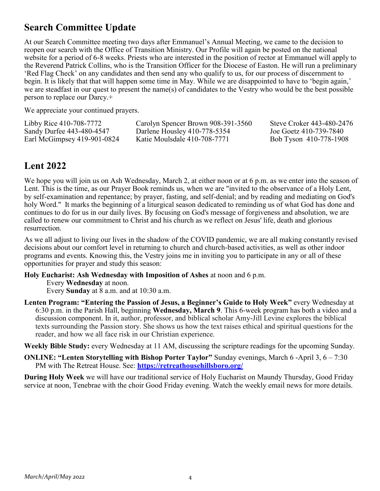# **Search Committee Update**

At our Search Committee meeting two days after Emmanuel's Annual Meeting, we came to the decision to reopen our search with the Office of Transition Ministry. Our Profile will again be posted on the national website for a period of 6-8 weeks. Priests who are interested in the position of rector at Emmanuel will apply to the Reverend Patrick Collins, who is the Transition Officer for the Diocese of Easton. He will run a preliminary 'Red Flag Check' on any candidates and then send any who qualify to us, for our process of discernment to begin. It is likely that that will happen some time in May. While we are disappointed to have to 'begin again,' we are steadfast in our quest to present the name(s) of candidates to the Vestry who would be the best possible person to replace our Darcy.+

We appreciate your continued prayers.

| Libby Rice 410-708-7772     | Carolyn Spencer Brown 908-391-3560 | Steve Croker 443-480-2476 |
|-----------------------------|------------------------------------|---------------------------|
| Sandy Durfee 443-480-4547   | Darlene Housley 410-778-5354       | Joe Goetz 410-739-7840    |
| Earl McGimpsey 419-901-0824 | Katie Moulsdale 410-708-7771       | Bob Tyson 410-778-1908    |

# **Lent 2022**

We hope you will join us on Ash Wednesday, March 2, at either noon or at 6 p.m. as we enter into the season of Lent. This is the time, as our Prayer Book reminds us, when we are "invited to the observance of a Holy Lent, by self-examination and repentance; by prayer, fasting, and self-denial; and by reading and mediating on God's holy Word." It marks the beginning of a liturgical season dedicated to reminding us of what God has done and continues to do for us in our daily lives. By focusing on God's message of forgiveness and absolution, we are called to renew our commitment to Christ and his church as we reflect on Jesus' life, death and glorious resurrection.

As we all adjust to living our lives in the shadow of the COVID pandemic, we are all making constantly revised decisions about our comfort level in returning to church and church-based activities, as well as other indoor programs and events. Knowing this, the Vestry joins me in inviting you to participate in any or all of these opportunities for prayer and study this season:

#### **Holy Eucharist: Ash Wednesday with Imposition of Ashes** at noon and 6 p.m.

Every **Wednesday** at noon.

Every **Sunday** at 8 a.m. and at 10:30 a.m.

**Lenten Program: "Entering the Passion of Jesus, a Beginner's Guide to Holy Week"** every Wednesday at 6:30 p.m. in the Parish Hall, beginning **Wednesday, March 9**. This 6-week program has both a video and a discussion component. In it, author, professor, and biblical scholar Amy-Jill Levine explores the biblical texts surrounding the Passion story. She shows us how the text raises ethical and spiritual questions for the reader, and how we all face risk in our Christian experience.

**Weekly Bible Study:** every Wednesday at 11 AM, discussing the scripture readings for the upcoming Sunday.

**ONLINE: "Lenten Storytelling with Bishop Porter Taylor"** Sunday evenings, March 6 -April 3, 6 – 7:30 PM with The Retreat House. See: **<https://retreathousehillsboro.org/>**

**During Holy Week** we will have our traditional service of Holy Eucharist on Maundy Thursday, Good Friday service at noon, Tenebrae with the choir Good Friday evening. Watch the weekly email news for more details.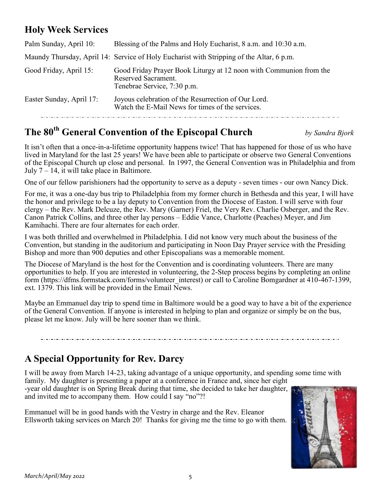# **Holy Week Services**

| Palm Sunday, April 10:   | Blessing of the Palms and Holy Eucharist, 8 a.m. and 10:30 a.m.                                                          |
|--------------------------|--------------------------------------------------------------------------------------------------------------------------|
|                          | Maundy Thursday, April 14: Service of Holy Eucharist with Stripping of the Altar, 6 p.m.                                 |
| Good Friday, April 15:   | Good Friday Prayer Book Liturgy at 12 noon with Communion from the<br>Reserved Sacrament.<br>Tenebrae Service, 7:30 p.m. |
| Easter Sunday, April 17: | Joyous celebration of the Resurrection of Our Lord.<br>Watch the E-Mail News for times of the services.                  |

# **The 80th General Convention of the Episcopal Church** *by Sandra Bjork*

It isn't often that a once-in-a-lifetime opportunity happens twice! That has happened for those of us who have lived in Maryland for the last 25 years! We have been able to participate or observe two General Conventions of the Episcopal Church up close and personal. In 1997, the General Convention was in Philadelphia and from July  $7 - 14$ , it will take place in Baltimore.

One of our fellow parishioners had the opportunity to serve as a deputy - seven times - our own Nancy Dick.

For me, it was a one-day bus trip to Philadelphia from my former church in Bethesda and this year, I will have the honor and privilege to be a lay deputy to Convention from the Diocese of Easton. I will serve with four clergy – the Rev. Mark Delcuze, the Rev. Mary (Garner) Friel, the Very Rev. Charlie Osberger, and the Rev. Canon Patrick Collins, and three other lay persons – Eddie Vance, Charlotte (Peaches) Meyer, and Jim Kamihachi. There are four alternates for each order.

I was both thrilled and overwhelmed in Philadelphia. I did not know very much about the business of the Convention, but standing in the auditorium and participating in Noon Day Prayer service with the Presiding Bishop and more than 900 deputies and other Episcopalians was a memorable moment.

The Diocese of Maryland is the host for the Convention and is coordinating volunteers. There are many opportunities to help. If you are interested in volunteering, the 2-Step process begins by completing an online form (https://dfms.formstack.com/forms/volunteer\_interest) or call to Caroline Bomgardner at 410-467-1399, ext. 1379. This link will be provided in the Email News.

Maybe an Emmanuel day trip to spend time in Baltimore would be a good way to have a bit of the experience of the General Convention. If anyone is interested in helping to plan and organize or simply be on the bus, please let me know. July will be here sooner than we think.

# **A Special Opportunity for Rev. Darcy**

I will be away from March 14-23, taking advantage of a unique opportunity, and spending some time with family. My daughter is presenting a paper at a conference in France and, since her eight -year old daughter is on Spring Break during that time, she decided to take her daughter, and invited me to accompany them. How could I say "no"?!

Emmanuel will be in good hands with the Vestry in charge and the Rev. Eleanor Ellsworth taking services on March 20! Thanks for giving me the time to go with them.

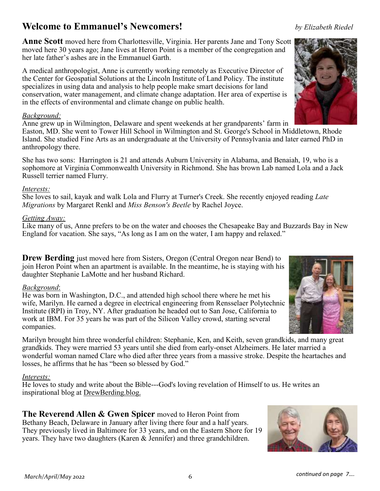# **Welcome to Emmanuel's Newcomers!** *by Elizabeth Riedel*

**Anne Scott** moved here from Charlottesville, Virginia. Her parents Jane and Tony Scott moved here 30 years ago; Jane lives at Heron Point is a member of the congregation and her late father's ashes are in the Emmanuel Garth.

A medical anthropologist, Anne is currently working remotely as Executive Director of the Center for Geospatial Solutions at the Lincoln Institute of Land Policy. The institute specializes in using data and analysis to help people make smart decisions for land conservation, water management, and climate change adaptation. Her area of expertise is in the effects of environmental and climate change on public health.

#### *Background:*

Anne grew up in Wilmington, Delaware and spent weekends at her grandparents' farm in Easton, MD. She went to Tower Hill School in Wilmington and St. George's School in Middletown, Rhode Island. She studied Fine Arts as an undergraduate at the University of Pennsylvania and later earned PhD in anthropology there.

She has two sons: Harrington is 21 and attends Auburn University in Alabama, and Benaiah, 19, who is a sophomore at Virginia Commonwealth University in Richmond. She has brown Lab named Lola and a Jack Russell terrier named Flurry.

### *Interests:*

She loves to sail, kayak and walk Lola and Flurry at Turner's Creek. She recently enjoyed reading *Late Migrations* by Margaret Renkl and *Miss Benson's Beetle* by Rachel Joyce.

### *Getting Away:*

Like many of us, Anne prefers to be on the water and chooses the Chesapeake Bay and Buzzards Bay in New England for vacation. She says, "As long as I am on the water, I am happy and relaxed."

**Drew Berding** just moved here from Sisters, Oregon (Central Oregon near Bend) to join Heron Point when an apartment is available. In the meantime, he is staying with his daughter Stephanie LaMotte and her husband Richard.

### *Background*:

He was born in Washington, D.C., and attended high school there where he met his wife, Marilyn. He earned a degree in electrical engineering from Rensselaer Polytechnic Institute (RPI) in Troy, NY. After graduation he headed out to San Jose, California to work at IBM. For 35 years he was part of the Silicon Valley crowd, starting several companies.

Marilyn brought him three wonderful children: Stephanie, Ken, and Keith, seven grandkids, and many great grandkids. They were married 53 years until she died from early-onset Alzheimers. He later married a wonderful woman named Clare who died after three years from a massive stroke. Despite the heartaches and losses, he affirms that he has "been so blessed by God."

### *Interests:*

He loves to study and write about the Bible---God's loving revelation of Himself to us. He writes an inspirational blog at DrewBerding.blog.

**The Reverend Allen & Gwen Spicer** moved to Heron Point from Bethany Beach, Delaware in January after living there four and a half years. They previously lived in Baltimore for 33 years, and on the Eastern Shore for 19 years. They have two daughters (Karen & Jennifer) and three grandchildren.





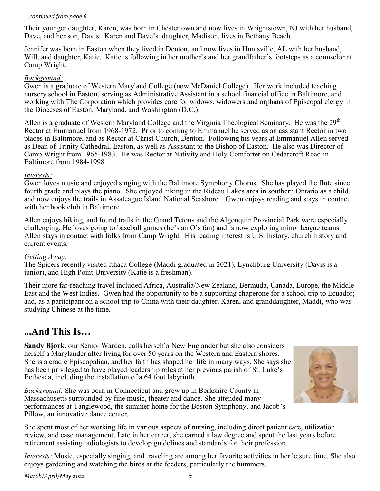#### ...*continued from page 6*

Their younger daughter, Karen, was born in Chestertown and now lives in Wrightstown, NJ with her husband, Dave, and her son, Davis. Karen and Dave's daughter, Madison, lives in Bethany Beach.

Jennifer was born in Easton when they lived in Denton, and now lives in Huntsville, AL with her husband, Will, and daughter, Katie. Katie is following in her mother's and her grandfather's footsteps as a counselor at Camp Wright.

#### *Background:*

Gwen is a graduate of Western Maryland College (now McDaniel College). Her work included teaching nursery school in Easton, serving as Administrative Assistant in a school financial office in Baltimore, and working with The Corporation which provides care for widows, widowers and orphans of Episcopal clergy in the Dioceses of Easton, Maryland, and Washington (D.C.).

Allen is a graduate of Western Maryland College and the Virginia Theological Seminary. He was the  $29<sup>th</sup>$ Rector at Emmanuel from 1968-1972. Prior to coming to Emmanuel he served as an assistant Rector in two places in Baltimore, and as Rector at Christ Church, Denton. Following his years at Emmanuel Allen served as Dean of Trinity Cathedral, Easton, as well as Assistant to the Bishop of Easton. He also was Director of Camp Wright from 1965-1983. He was Rector at Nativity and Holy Comforter on Cedarcroft Road in Baltimore from 1984-1998.

#### *Interests:*

Gwen loves music and enjoyed singing with the Baltimore Symphony Chorus. She has played the flute since fourth grade and plays the piano. She enjoyed hiking in the Rideau Lakes area in southern Ontario as a child, and now enjoys the trails in Assateague Island National Seashore. Gwen enjoys reading and stays in contact with her book club in Baltimore.

Allen enjoys hiking, and found trails in the Grand Tetons and the Algonquin Provincial Park were especially challenging. He loves going to baseball games (he's an O's fan) and is now exploring minor league teams. Allen stays in contact with folks from Camp Wright. His reading interest is U.S. history, church history and current events.

#### *Getting Away:*

The Spicers recently visited Ithaca College (Maddi graduated in 2021), Lynchburg University (Davis is a junior), and High Point University (Katie is a freshman).

Their more far-reaching travel included Africa, Australia/New Zealand, Bermuda, Canada, Europe, the Middle East and the West Indies. Gwen had the opportunity to be a supporting chaperone for a school trip to Ecuador; and, as a participant on a school trip to China with their daughter, Karen, and granddaughter, Maddi, who was studying Chinese at the time.

# **...And This Is…**

**Sandy Bjork**, our Senior Warden, calls herself a New Englander but she also considers herself a Marylander after living for over 50 years on the Western and Eastern shores. She is a cradle Episcopalian, and her faith has shaped her life in many ways. She says she has been privileged to have played leadership roles at her previous parish of St. Luke's Bethesda, including the installation of a 64 foot labyrinth.

*Background:* She was born in Connecticut and grew up in Berkshire County in Massachusetts surrounded by fine music, theater and dance. She attended many performances at Tanglewood, the summer home for the Boston Symphony, and Jacob's Pillow, an innovative dance center.

She spent most of her working life in various aspects of nursing, including direct patient care, utilization review, and case management. Late in her career, she earned a law degree and spent the last years before retirement assisting radiologists to develop guidelines and standards for their profession.

*Interests:* Music, especially singing, and traveling are among her favorite activities in her leisure time. She also enjoys gardening and watching the birds at the feeders, particularly the hummers.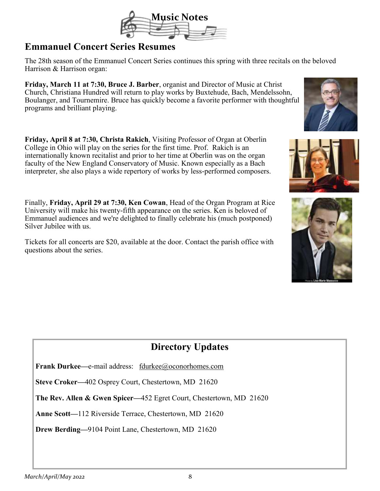

# **Emmanuel Concert Series Resumes**

The 28th season of the Emmanuel Concert Series continues this spring with three recitals on the beloved Harrison & Harrison organ:

**Friday, March 11 at 7:30, Bruce J. Barber**, organist and Director of Music at Christ Church, Christiana Hundred will return to play works by Buxtehude, Bach, Mendelssohn, Boulanger, and Tournemire. Bruce has quickly become a favorite performer with thoughtful programs and brilliant playing.

**Friday, April 8 at 7:30, Christa Rakich**, Visiting Professor of Organ at Oberlin College in Ohio will play on the series for the first time. Prof. Rakich is an internationally known recitalist and prior to her time at Oberlin was on the organ faculty of the New England Conservatory of Music. Known especially as a Bach interpreter, she also plays a wide repertory of works by less-performed composers.

Finally, **Friday, April 29 at 7:30, Ken Cowan**, Head of the Organ Program at Rice University will make his twenty-fifth appearance on the series. Ken is beloved of Emmanuel audiences and we're delighted to finally celebrate his (much postponed) Silver Jubilee with us.

Tickets for all concerts are \$20, available at the door. Contact the parish office with questions about the series.



**Frank Durkee—**e-mail address: fdurkee@oconorhomes.com

**Steve Croker—**402 Osprey Court, Chestertown, MD 21620

**The Rev. Allen & Gwen Spicer—**452 Egret Court, Chestertown, MD 21620

**Anne Scott—**112 Riverside Terrace, Chestertown, MD 21620

**Drew Berding—**9104 Point Lane, Chestertown, MD 21620





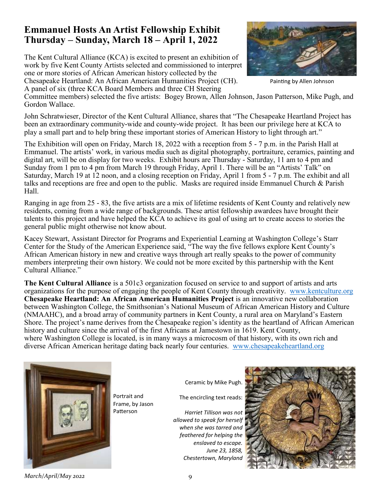# **Emmanuel Hosts An Artist Fellowship Exhibit Thursday – Sunday, March 18 – April 1, 2022**

The Kent Cultural Alliance (KCA) is excited to present an exhibition of work by five Kent County Artists selected and commissioned to interpret one or more stories of African American history collected by the Chesapeake Heartland: An African American Humanities Project (CH).

A panel of six (three KCA Board Members and three CH Steering



Painting by Allen Johnson

Committee members) selected the five artists: Bogey Brown, Allen Johnson, Jason Patterson, Mike Pugh, and Gordon Wallace.

John Schratwieser, Director of the Kent Cultural Alliance, shares that "The Chesapeake Heartland Project has been an extraordinary community-wide and county-wide project. It has been our privilege here at KCA to play a small part and to help bring these important stories of American History to light through art."

The Exhibition will open on Friday, March 18, 2022 with a reception from 5 - 7 p.m. in the Parish Hall at Emmanuel. The artists' work, in various media such as digital photography, portraiture, ceramics, painting and digital art, will be on display for two weeks. Exhibit hours are Thursday - Saturday, 11 am to 4 pm and Sunday from 1 pm to 4 pm from March 19 through Friday, April 1. There will be an "Artists' Talk" on Saturday, March 19 at 12 noon, and a closing reception on Friday, April 1 from 5 - 7 p.m. The exhibit and all talks and receptions are free and open to the public. Masks are required inside Emmanuel Church & Parish Hall.

Ranging in age from 25 - 83, the five artists are a mix of lifetime residents of Kent County and relatively new residents, coming from a wide range of backgrounds. These artist fellowship awardees have brought their talents to this project and have helped the KCA to achieve its goal of using art to create access to stories the general public might otherwise not know about.

Kacey Stewart, Assistant Director for Programs and Experiential Learning at Washington College's Starr Center for the Study of the American Experience said, "The way the five fellows explore Kent County's African American history in new and creative ways through art really speaks to the power of community members interpreting their own history. We could not be more excited by this partnership with the Kent Cultural Alliance."

**The Kent Cultural Alliance** is a 501c3 organization focused on service to and support of artists and arts organizations for the purpose of engaging the people of Kent County through creativity. www.kentculture.org **Chesapeake Heartland: An African American Humanities Project** is an innovative new collaboration between Washington College, the Smithsonian's National Museum of African American History and Culture (NMAAHC), and a broad array of community partners in Kent County, a rural area on Maryland's Eastern Shore. The project's name derives from the Chesapeake region's identity as the heartland of African American history and culture since the arrival of the first Africans at Jamestown in 1619. Kent County, where Washington College is located, is in many ways a microcosm of that history, with its own rich and diverse African American heritage dating back nearly four centuries. www.chesapeakeheartland.org



Portrait and Frame, by Jason Patterson

Ceramic by Mike Pugh.

The encircling text reads:

*Harriet Tillison was not allowed to speak for herself when she was tarred and feathered for helping the enslaved to escape. June 23, 1858, Chestertown, Maryland*



*March/April/May 2022* 9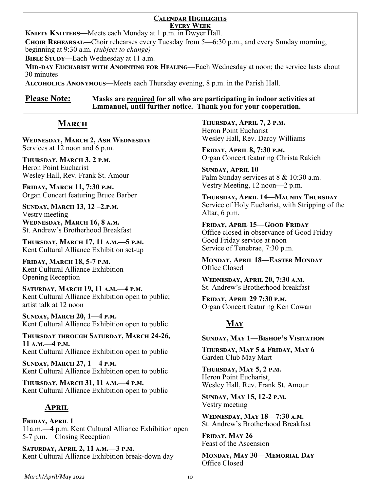#### **Calendar Highlights Every Week**

**KNIFTY KNITTERS—Meets each Monday at 1 p.m. in Dwyer Hall.** 

**Choir Rehearsal—**Choir rehearses every Tuesday from 5—6:30 p.m., and every Sunday morning, beginning at 9:30 a.m. *(subject to change)*

**BIBLE STUDY—Each Wednesday at 11 a.m.** 

**Mid-day Eucharist with Anointing for Healing—**Each Wednesday at noon; the service lasts about 30 minutes

**Alcoholics Anonymous**—Meets each Thursday evening, 8 p.m. in the Parish Hall.

**Please Note: Masks are required for all who are participating in indoor activities at Emmanuel, until further notice. Thank you for your cooperation.**

# **March**

**Wednesday, March 2, Ash Wednesday** Services at 12 noon and 6 p.m.

**Thursday, March 3, 2 p.m.** Heron Point Eucharist Wesley Hall, Rev. Frank St. Amour

**Friday, March 11, 7:30 p.m.** Organ Concert featuring Bruce Barber

**Sunday, March 13, 12 –2.p.m.** Vestry meeting **Wednesday, March 16, 8 a.m.** St. Andrew's Brotherhood Breakfast

**Thursday, March 17, 11 a.m.—5 p.m.** Kent Cultural Alliance Exhibition set-up

**Friday, March 18, 5-7 p.m.** Kent Cultural Alliance Exhibition Opening Reception

**Saturday, March 19, 11 a.m.—4 p.m.** Kent Cultural Alliance Exhibition open to public; artist talk at 12 noon

**Sunday, March 20, 1—4 p.m.** Kent Cultural Alliance Exhibition open to public

**Thursday through Saturday, March 24-26, 11 a.m.—4 p.m.** Kent Cultural Alliance Exhibition open to public

**Sunday, March 27, 1—4 p.m.** Kent Cultural Alliance Exhibition open to public

**Thursday, March 31, 11 a.m.—4 p.m.** Kent Cultural Alliance Exhibition open to public

# **April**

**Friday, April 1** 11a.m.—4 p.m. Kent Cultural Alliance Exhibition open 5-7 p.m.—Closing Reception

**Saturday, April 2, 11 a.m.—3 p.m.** Kent Cultural Alliance Exhibition break-down day

**Thursday, April 7, 2 p.m.** Heron Point Eucharist Wesley Hall, Rev. Darcy Williams

**Friday, April 8, 7:30 p.m.** Organ Concert featuring Christa Rakich

**Sunday, April 10**  Palm Sunday services at 8 & 10:30 a.m. Vestry Meeting, 12 noon—2 p.m.

**Thursday, April 14—Maundy Thursday** Service of Holy Eucharist, with Stripping of the Altar, 6 p.m.

**Friday, April 15—Good Friday**  Office closed in observance of Good Friday Good Friday service at noon Service of Tenebrae, 7:30 p.m.

**Monday, April 18—Easter Monday** Office Closed

**Wednesday, April 20, 7:30 a.m.** St. Andrew's Brotherhood breakfast

**Friday, April 29 7:30 p.m.** Organ Concert featuring Ken Cowan

# **May**

### **Sunday, May 1—Bishop's Visitation**

**Thursday, May 5 & Friday, May 6** Garden Club May Mart

**Thursday, May 5, 2 p.m.** Heron Point Eucharist, Wesley Hall, Rev. Frank St. Amour

**Sunday, May 15, 12-2 p.m.** Vestry meeting

**Wednesday, May 18—7:30 a.m.** St. Andrew's Brotherhood Breakfast

**Friday, May 26** Feast of the Ascension

**Monday, May 30—Memorial Day** Office Closed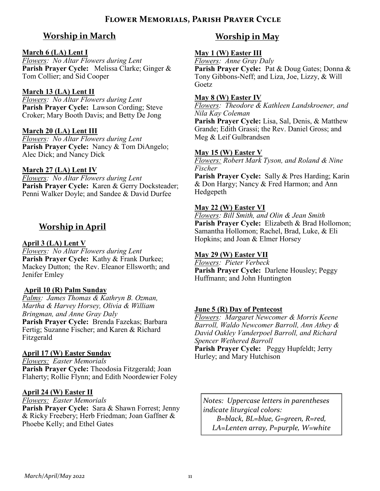# **Worship in March**

## **March 6 (LA) Lent I**

*Flowers: No Altar Flowers during Lent* **Parish Prayer Cycle:** Melissa Clarke; Ginger & Tom Collier; and Sid Cooper

# **March 13 (LA) Lent II**

*Flowers: No Altar Flowers during Lent* Parish Prayer Cycle: Lawson Cording; Steve Croker; Mary Booth Davis; and Betty De Jong

# **March 20 (LA) Lent III**

*Flowers: No Altar Flowers during Lent* **Parish Prayer Cycle:** Nancy & Tom DiAngelo; Alec Dick; and Nancy Dick

# **March 27 (LA) Lent IV**

*Flowers: No Altar Flowers during Lent* Parish Prayer Cycle: Karen & Gerry Docksteader; Penni Walker Doyle; and Sandee & David Durfee

# **Worship in April**

# **April 3 (LA) Lent V**

*Flowers: No Altar Flowers during Lent* **Parish Prayer Cycle:** Kathy & Frank Durkee; Mackey Dutton; the Rev. Eleanor Ellsworth; and Jenifer Emley

# **April 10 (R) Palm Sunday**

*Palms: James Thomas & Kathryn B. Ozman, Martha & Harvey Horsey, Olivia & William Bringman, and Anne Gray Daly* 

**Parish Prayer Cycle:** Brenda Fazekas; Barbara Fertig; Suzanne Fischer; and Karen & Richard Fitzgerald

### **April 17 (W) Easter Sunday**

*Flowers: Easter Memorials* **Parish Prayer Cycle:** Theodosia Fitzgerald; Joan Flaherty; Rollie Flynn; and Edith Noordewier Foley

### **April 24 (W) Easter II**

*Flowers: Easter Memorials* Parish Prayer Cycle: Sara & Shawn Forrest; Jenny

& Ricky Freebery; Herb Friedman; Joan Gaffner & Phoebe Kelly; and Ethel Gates

# **Worship in May**

## **May 1 (W) Easter III**

*Flowers: Anne Gray Daly*

**Parish Prayer Cycle:** Pat & Doug Gates; Donna & Tony Gibbons-Neff; and Liza, Joe, Lizzy, & Will Goetz

### **May 8 (W) Easter IV**

*Flowers: Theodore & Kathleen Landskroener, and Nila Kay Coleman*

**Parish Prayer Cycle:** Lisa, Sal, Denis, & Matthew Grande; Edith Grassi; the Rev. Daniel Gross; and Meg & Leif Gulbrandsen

# **May 15 (W) Easter V**

*Flowers: Robert Mark Tyson, and Roland & Nine Fischer*

**Parish Prayer Cycle:** Sally & Pres Harding; Karin & Don Hargy; Nancy & Fred Harmon; and Ann Hedgepeth

# **May 22 (W) Easter VI**

*Flowers: Bill Smith, and Olin & Jean Smith* **Parish Prayer Cycle:** Elizabeth & Brad Hollomon; Samantha Hollomon; Rachel, Brad, Luke, & Eli Hopkins; and Joan & Elmer Horsey

### **May 29 (W) Easter VII**

*Flowers: Pieter Verbeck* **Parish Prayer Cycle:** Darlene Housley; Peggy Huffmann; and John Huntington

### **June 5 (R) Day of Pentecost**

*Flowers: Margaret Newcomer & Morris Keene Barroll, Waldo Newcomer Barroll, Ann Athey & David Oakley Vanderpoel Barroll, and Richard Spencer Wethered Barroll* **Parish Prayer Cycle:** Peggy Hupfeldt; Jerry Hurley; and Mary Hutchison

*Notes: Uppercase letters in parentheses indicate liturgical colors: B=black, BL=blue, G=green, R=red,* 

*LA=Lenten array, P=purple, W=white*